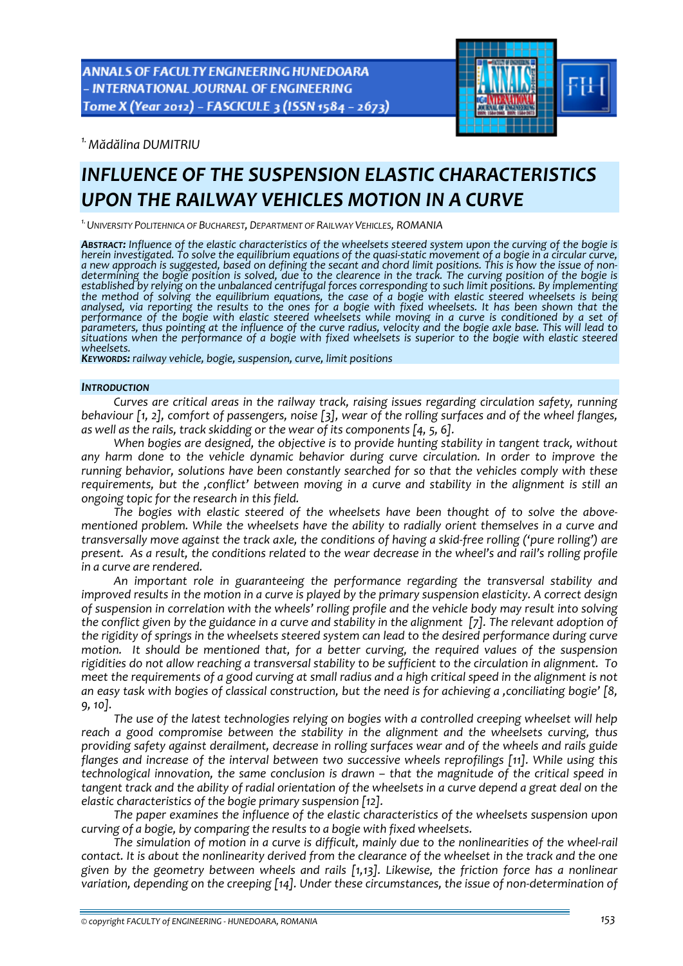

*1.Mădălina DUMITRIU* 

# *INFLUENCE OF THE SUSPENSION ELASTIC CHARACTERISTICS UPON THE RAILWAY VEHICLES MOTION IN A CURVE*

*1.UNIVERSITY POLITEHNICA OF BUCHAREST, DEPARTMENT OF RAILWAY VEHICLES, ROMANIA*

ABSTRACT: Influence of the elastic characteristics of the wheelsets steered system upon the curving of the bogie is herein investigated. To solve the equilibrium equations of the quasi-static movement of a bogie in a circular curve, a new approach is suggested, based on defining the secant and chord limit positions. This is how the issu determining the bogie position is solved, due to the clearence in the track. The curving position of the bogie is established by relying on the unbalanced centrifugal forces corresponding to such limit positions. By implementing<br>the method of solving the equilibrium equations, the case of a bogie with elastic steered wheelsets is bein performance of the bogie with elastic steered wheelsets while moving in a curve is conditioned by a set of parameters, thus pointing at the influence of the curve radius, velocity and the bogie axle base. This will lead to situations when the performance of a bogie with fixed wheelsets is superior to the bogie with elastic steered<br>wheelsets

*wheelsets. KEYWORDS: railway vehicle, bogie, suspension, curve, limit positions*

## *INTRODUCTION*

*Curves are critical areas in the railway track, raising issues regarding circulation safety, running* behaviour  $\lceil 1, 2 \rceil$ , comfort of passengers, noise  $\lceil 3 \rceil$ , wear of the rolling surfaces and of the wheel flanges, *as well as the rails, track skidding or the wear of its components [4, 5, 6].*

*When bogies are designed, the objective is to provide hunting stability in tangent track, without any harm done to the vehicle dynamic behavior during curve circulation. In order to improve the running behavior, solutions have been constantly searched for so that the vehicles comply with these requirements, but the 'conflict' between moving in a curve and stability in the alignment is still an ongoing topic for the research in this field.* 

*The bogies with elastic steered of the wheelsets have been thought of to solve the above‐ mentioned problem. While the wheelsets have the ability to radially orient themselves in a curve and* transversally move against the track axle, the conditions of having a skid-free rolling ('pure rolling') are present. As a result, the conditions related to the wear decrease in the wheel's and rail's rolling profile *in a curve are rendered.* 

*An important role in guaranteeing the performance regarding the transversal stability and* improved results in the motion in a curve is played by the primary suspension elasticity. A correct design of suspension in correlation with the wheels' rolling profile and the vehicle body may result into solving the conflict given by the guidance in a curve and stability in the alignment [7]. The relevant adoption of *the rigidity of springs in the wheelsets steered system can lead to the desired performance during curve motion. It should be mentioned that, for a better curving, the required values of the suspension* rigidities do not allow reaching a transversal stability to be sufficient to the circulation in alignment. To meet the requirements of a good curving at small radius and a high critical speed in the alignment is not an easy task with bogies of classical construction, but the need is for achieving a ,conciliating bogie' [8, *9, 10].* 

*The use of the latest technologies relying on bogies with a controlled creeping wheelset will help reach a good compromise between the stability in the alignment and the wheelsets curving, thus providing safety against derailment, decrease in rolling surfaces wear and of the wheels and rails guide flanges and increase of the interval between two successive wheels reprofilings [11]. While using this technological innovation, the same conclusion is drawn – that the magnitude of the critical speed in* tangent track and the ability of radial orientation of the wheelsets in a curve depend a great deal on the *elastic characteristics of the bogie primary suspension [12].*

*The paper examines the influence of the elastic characteristics of the wheelsets suspension upon curving of a bogie, by comparing the results to a bogie with fixed wheelsets.* 

The simulation of motion in a curve is difficult, mainly due to the nonlinearities of the wheel-rail contact. It is about the nonlinearity derived from the clearance of the wheelset in the track and the one *given by the geometry between wheels and rails [1,13]. Likewise, the friction force has a nonlinear variation, depending on the creeping [14]. Under these circumstances, the issue of non‐determination of*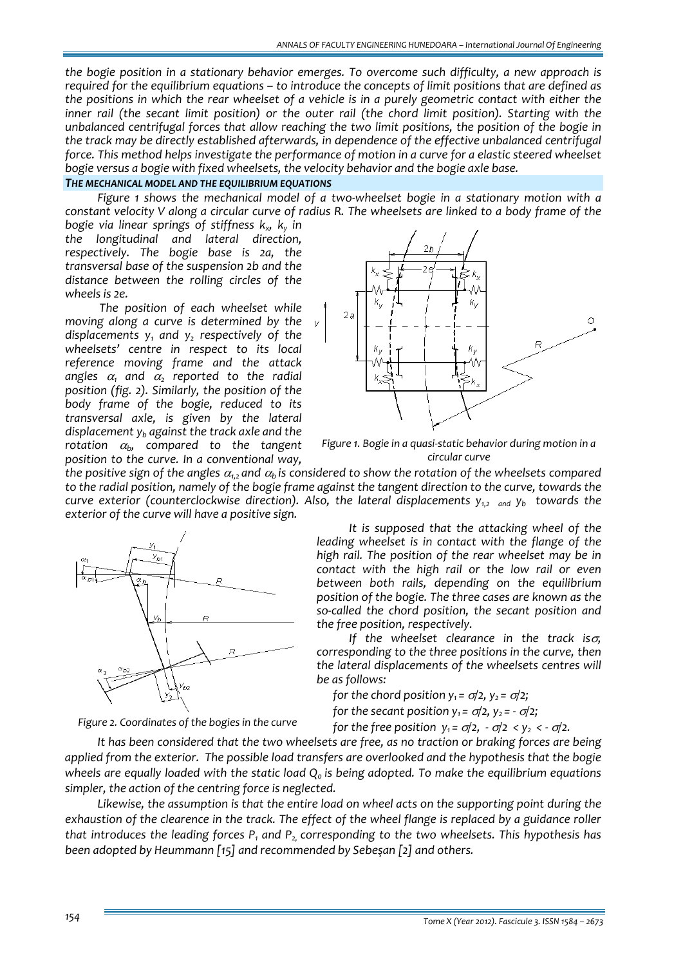*the bogie position in a stationary behavior emerges. To overcome such difficulty, a new approach is required for the equilibrium equations – to introduce the concepts of limit positions that are defined as* the positions in which the rear wheelset of a vehicle is in a purely geometric contact with either the *inner rail (the secant limit position) or the outer rail (the chord limit position). Starting with the unbalanced centrifugal forces that allow reaching the two limit positions, the position of the bogie in the track may be directly established afterwards, in dependence of the effective unbalanced centrifugal force. This method helps investigate the performance of motion in a curve for a elastic steered wheelset bogie versus a bogie with fixed wheelsets, the velocity behavior and the bogie axle base.*

# *THE MECHANICAL MODEL AND THE EQUILIBRIUM EQUATIONS*

*Figure 1 shows the mechanical model of a two‐wheelset bogie in a stationary motion with a* constant velocity V along a circular curve of radius R. The wheelsets are linked to a body frame of the

*bogie via linear springs of stiffness kx, ky in the longitudinal and lateral direction, respectively. The bogie base is 2a, the transversal base of the suspension 2b and the distance between the rolling circles of the wheels is 2e.*

 *The position of each wheelset while moving along a curve is determined by the displacements*  $y_1$  *and*  $y_2$  *respectively of the wheelsets' centre in respect to its local reference moving frame and the attack angles*  $\alpha_1$  *and*  $\alpha_2$  *reported* to the *radial position (fig. 2). Similarly, the position of the body frame of the bogie, reduced to its transversal axle, is given by the lateral displacement yb against the track axle and the rotation* <sup>α</sup>*b, compared to the tangent position to the curve. In a conventional way,*





the positive sign of the angles  $\alpha_1$ , and  $\alpha_2$  is considered to show the rotation of the wheelsets compared to the radial position, namely of the bogie frame against the tangent direction to the curve, towards the *curve exterior (counterclockwise direction). Also, the lateral displacements y1,2 and yb towards the exterior of the curve will have a positive sign.*



*Figure 2. Coordinates of the bogies in the curve*



*If the wheelset clearance in the track is*σ*, corresponding to the three positions in the curve, then the lateral displacements of the wheelsets centres will be as follows:*

*for the chord position*  $y_1 = \sigma/2$ ,  $y_2 = \sigma/2$ ;

*for the secant position*  $y_1 = \sigma/2$ ,  $y_2 = -\sigma/2$ ;

*for the free position*  $y_1 = \sigma/2$ ,  $-\sigma/2 < y_2 < -\sigma/2$ .

*It has been considered that the two wheelsets are free, as no traction or braking forces are being applied from the exterior. The possible load transfers are overlooked and the hypothesis that the bogie wheels are equally loaded with the static load Q0 is being adopted. To make the equilibrium equations simpler, the action of the centring force is neglected.* 

*Likewise, the assumption is that the entire load on wheel acts on the supporting point during the* exhaustion of the clearence in the track. The effect of the wheel flange is replaced by a guidance roller *that introduces the leading forces*  $P_1$  *and*  $P_2$  *corresponding to the two wheelsets. This hypothesis has been adopted by Heummann [15] and recommended by Sebeşan [2] and others.*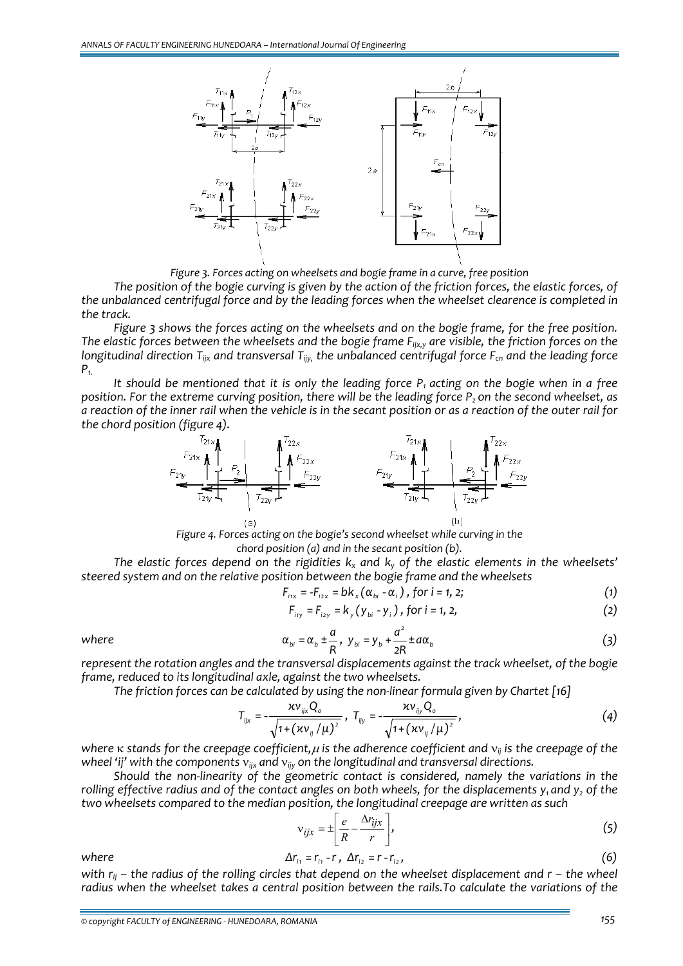

*Figure 3. Forces acting on wheelsets and bogie frame in a curve, free position* 

The position of the bogie curving is given by the action of the friction forces, the elastic forces, of *the unbalanced centrifugal force and by the leading forces when the wheelset clearence is completed in the track.* 

Figure 3 shows the forces acting on the wheelsets and on the bogie frame, for the free position. The elastic forces between the wheelsets and the bogie frame  $F_{ijx,y}$  are visible, the friction forces on the *longitudinal direction Tijx and transversal Tijy, the unbalanced centrifugal force Fcn and the leading force P1.*

It should be mentioned that it is only the leading force  $P_1$  acting on the bogie when in a free position. For the extreme curving position, there will be the leading force  $P_2$  on the second wheelset, as a reaction of the inner rail when the vehicle is in the secant position or as a reaction of the outer rail for *the chord position (figure 4).*



*Figure 4. Forces acting on the bogie's second wheelset while curving in the chord position (a) and in the secant position (b).*

*The elastic forces depend on the rigidities kx and ky of the elastic elements in the wheelsets' steered system and on the relative position between the bogie frame and the wheelsets* 

$$
F_{i1x} = -F_{i2x} = bk_x (\alpha_{bi} - \alpha_i), \text{ for } i = 1, 2;
$$
 (1)

$$
F_{i_{1}y} = F_{i_{2}y} = k_{y}(y_{bi} - y_{i}), \text{ for } i = 1, 2,
$$
 (2)

where 
$$
\alpha_{bi} = \alpha_b \pm \frac{a}{R}
$$
,  $y_{bi} = y_b + \frac{a^2}{2R} \pm a\alpha_b$  (3)

*represent the rotation angles and the transversal displacements against the track wheelset, of the bogie frame, reduced to its longitudinal axle, against the two wheelsets.* 

*The friction forces can be calculated by using the non‐linear formula given by Chartet [16]*

$$
T_{ijx} = -\frac{\kappa v_{ijx} Q_o}{\sqrt{1 + (\kappa v_{ij}/\mu)^2}}, \ T_{ijy} = -\frac{\kappa v_{ijy} Q_o}{\sqrt{1 + (\kappa v_{ij}/\mu)^2}},
$$
(4)

*where* κ *stands for the creepage coefficient,*<sup>μ</sup> *is the adherence coefficient and* ν*ij is the creepage of the wheel 'ij' with the components* ν*ijx and* ν*ijy on the longitudinal and transversal directions.* 

*Should the non‐linearity of the geometric contact is considered, namely the variations in the* rolling effective radius and of the contact angles on both wheels, for the displacements  $y_1$  and  $y_2$  of the *two wheelsets compared to the median position, the longitudinal creepage are written as such* 

$$
v_{ijx} = \pm \left[ \frac{e}{R} - \frac{\Delta r_{ijx}}{r} \right],
$$
 (5)

where 
$$
\Delta r_{i_1} = r_{i_1} - r_{i_1} \Delta r_{i_2} = r - r_{i_2},
$$
 (6)

with  $r_{ii}$  – the radius of the rolling circles that depend on the wheelset displacement and  $r$  – the wheel *radius when the wheelset takes a central position between the rails.To calculate the variations of the*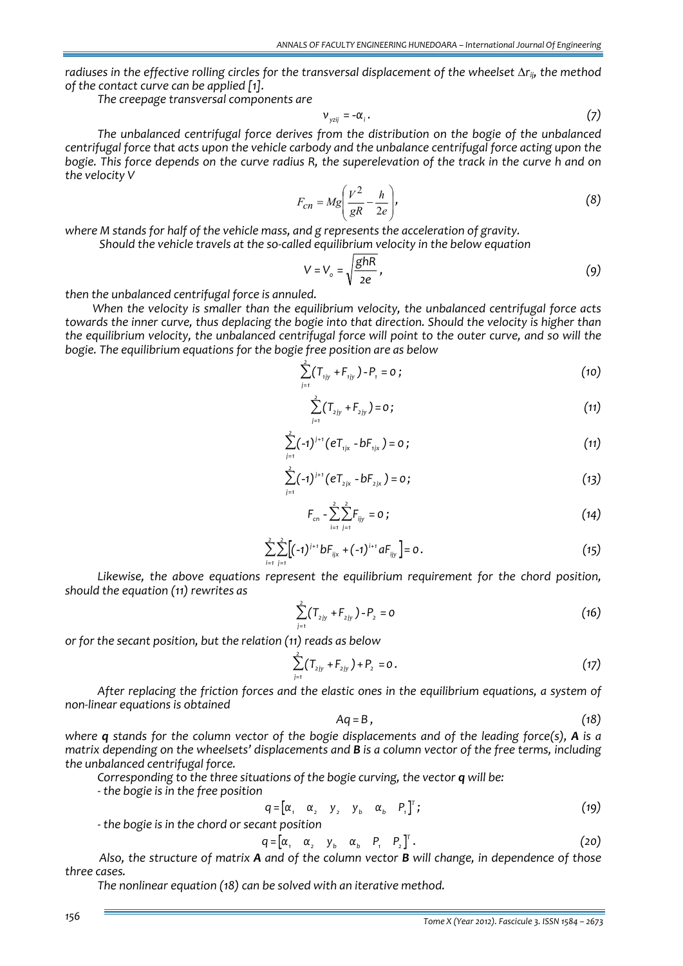*radiuses in the effective rolling circles for the transversal displacement of the wheelset* Δ*rij, the method of the contact curve can be applied [1].* 

*The creepage transversal components are*

$$
\mathbf{v}_{yzij} = -\alpha_i \, . \tag{7}
$$

*The unbalanced centrifugal force derives from the distribution on the bogie of the unbalanced centrifugal force that acts upon the vehicle carbody and the unbalance centrifugal force acting upon the* bogie. This force depends on the curve radius R, the superelevation of the track in the curve h and on *the velocity V*

$$
F_{cn} = Mg \left(\frac{V^2}{gR} - \frac{h}{2e}\right),\tag{8}
$$

*where M stands for half of the vehicle mass, and g represents the acceleration of gravity.*

 *Should the vehicle travels at the so‐called equilibrium velocity in the below equation*

$$
V = V_o = \sqrt{\frac{ghR}{2e}},
$$
 (9)

*then the unbalanced centrifugal force is annuled.* 

*When the velocity is smaller than the equilibrium velocity, the unbalanced centrifugal force acts towards the inner curve, thus deplacing the bogie into that direction. Should the velocity is higher than the equilibrium velocity, the unbalanced centrifugal force will point to the outer curve, and so will the bogie. The equilibrium equations for the bogie free position are as below*

$$
\sum_{j=1}^{2} (T_{ijy} + F_{ijy}) - P_1 = 0 ; \qquad (10)
$$

$$
\sum_{j=1}^{2} (T_{2jy} + F_{2jy}) = 0 ; \qquad (11)
$$

$$
\sum_{j=1}^{2} (-1)^{j+1} (eT_{1jx} - bF_{1jx}) = 0 ; \qquad (11)
$$

$$
\sum_{j=1}^{2} (-1)^{j+1} (eT_{2jx} - bF_{2jx}) = 0;
$$
 (13)

$$
F_{cn} - \sum_{i=1}^{2} \sum_{j=1}^{2} F_{ijy} = 0 ; \qquad (14)
$$

$$
\sum_{i=1}^{2} \sum_{j=1}^{2} \left[ (-1)^{j+1} b F_{ijx} + (-1)^{i+1} a F_{ijy} \right] = 0.
$$
 (15)

*Likewise, the above equations represent the equilibrium requirement for the chord position, should the equation (11) rewrites as* 

$$
\sum_{j=1}^{2} (T_{2jy} + F_{2jy}) - P_2 = 0
$$
 (16)

*or for the secant position, but the relation (11) reads as below* 

$$
\sum_{j=1}^{2} (T_{2jy} + F_{2jy}) + P_2 = 0.
$$
 (17)

*After replacing the friction forces and the elastic ones in the equilibrium equations, a system of non‐linear equations is obtained* 

$$
Aq = B, \qquad (18)
$$

where  $q$  stands for the column vector of the bogie displacements and of the leading force(s),  $A$  is a *matrix depending on the wheelsets' displacements and B is a column vector of the free terms, including the unbalanced centrifugal force.* 

*Corresponding to the three situations of the bogie curving, the vector q will be:*

 *‐ the bogie is in the free position* 

$$
q = [\alpha, \alpha_2 \quad y_2 \quad y_b \quad \alpha_b \quad P, ]^T; \tag{19}
$$

 *‐ the bogie is in the chord or secant position*

$$
q = \begin{bmatrix} \alpha_1 & \alpha_2 & \gamma_b & \alpha_b & P_1 & P_2 \end{bmatrix}^T.
$$
 (20)

Also, the structure of matrix A and of the column vector B will change, in dependence of those *three cases.* 

*The nonlinear equation (18) can be solved with an iterative method.*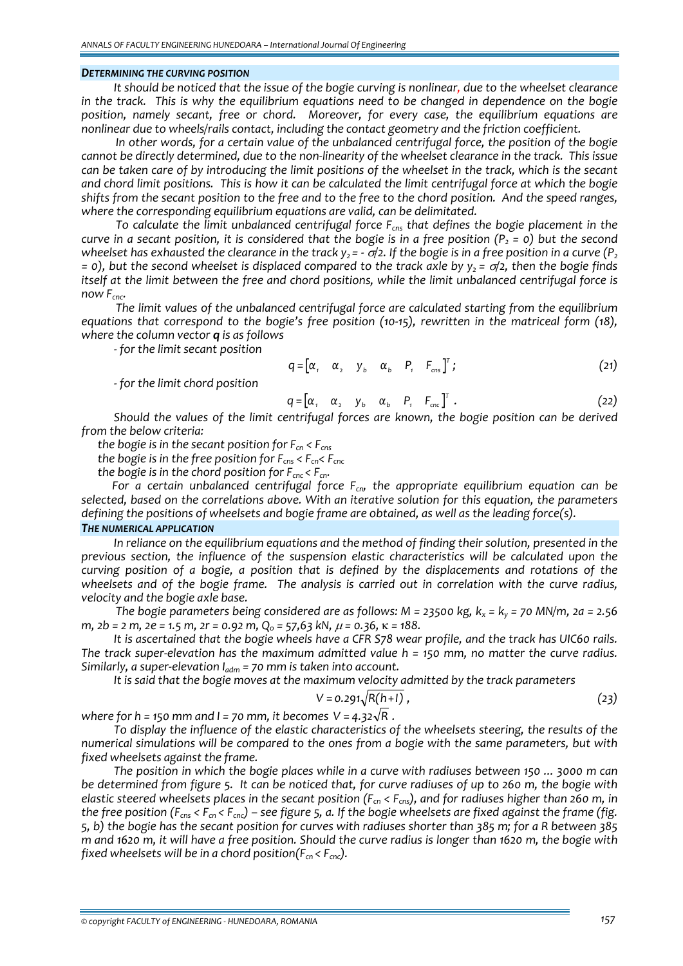#### *DETERMINING THE CURVING POSITION*

It should be noticed that the issue of the bogie curving is nonlinear, due to the wheelset clearance in the track. This is why the equilibrium equations need to be changed in dependence on the bogie *position, namely secant, free or chord. Moreover, for every case, the equilibrium equations are nonlinear due to wheels/rails contact, including the contact geometry and the friction coefficient.*

*In other words, for a certain value of the unbalanced centrifugal force, the position of the bogie* cannot be directly determined, due to the non-linearity of the wheelset clearance in the track. This issue can be taken care of by introducing the limit positions of the wheelset in the track, which is the secant and chord limit positions. This is how it can be calculated the limit centrifugal force at which the bogie shifts from the secant position to the free and to the free to the chord position. And the speed ranges, *where the corresponding equilibrium equations are valid, can be delimitated.*

*To calculate the limit unbalanced centrifugal force Fcns that defines the bogie placement in the* curve in a secant position, it is considered that the bogie is in a free position ( $P_2 = 0$ ) but the second wheelset has exhausted the clearance in the track  $y_2 = -\frac{\sigma}{2}$ . If the bogie is in a free position in a curve (P<sub>2</sub> = 0), but the second wheelset is displaced compared to the track axle by  $y_2 = \sigma/2$ , then the bogie finds *itself at the limit between the free and chord positions, while the limit unbalanced centrifugal force is now*  $F_{\text{cnc}}$ .

*The limit values of the unbalanced centrifugal force are calculated starting from the equilibrium equations that correspond to the bogie's free position (10‐15), rewritten in the matriceal form (18), where the column vector q is as follows*

*‐ for the limit secant position*

$$
q = \begin{bmatrix} \alpha_1 & \alpha_2 & \gamma_b & \alpha_b & P_1 & F_{\text{cns}} \end{bmatrix}^T; \tag{21}
$$

*‐ for the limit chord position*

$$
q = \begin{bmatrix} \alpha_1 & \alpha_2 & \gamma_b & \alpha_b & P_1 & F_{\text{cnc}} \end{bmatrix}^T.
$$
 (22)

*Should the values of the limit centrifugal forces are known, the bogie position can be derived from the below criteria:* 

*the bogie is in the secant position for*  $F_{cn}$  <  $F_{cns}$ 

the logic is in the free position for 
$$
F_{\rm ens} < F_{\rm cn} < F_{\rm enc}
$$

*the bogie is in the chord position for Fcnc < Fcn.*

*For a certain unbalanced centrifugal force Fcn, the appropriate equilibrium equation can be selected, based on the correlations above. With an iterative solution for this equation, the parameters defining the positions of wheelsets and bogie frame are obtained, as well as the leading force(s).*

# *THE NUMERICAL APPLICATION*

*In reliance on the equilibrium equations and the method of finding their solution, presented in the previous section, the influence of the suspension elastic characteristics will be calculated upon the curving position of a bogie, a position that is defined by the displacements and rotations of the* wheelsets and of the bogie frame. The analysis is carried out in correlation with the curve radius, *velocity and the bogie axle base.*

The bogie parameters being considered are as follows: M = 23500 kg,  $k_x$  =  $k_y$  = 70 MN/m, 2a = 2.56 m,  $2b = 2$  m,  $2e = 1.5$  m,  $2r = 0.92$  m,  $Q_0 = 57.63$  kN,  $\mu = 0.36$ ,  $\kappa = 188$ .

It is ascertained that the bogie wheels have a CFR S78 wear profile, and the track has UIC60 rails. The track super-elevation has the maximum admitted value  $h = 150$  mm, no matter the curve radius. *Similarly, a super‐elevation Iadm = 70 mm is taken into account.* 

*It is said that the bogie moves at the maximum velocity admitted by the track parameters*

$$
V = 0.291\sqrt{R(h+1)},
$$
 (23)

*where* for *h* = 150 *mm* and *l* = 70 *mm*, *it becomes*  $V = 4.32\sqrt{R}$ .

*To display the influence of the elastic characteristics of the wheelsets steering, the results of the numerical simulations will be compared to the ones from a bogie with the same parameters, but with fixed wheelsets against the frame.* 

The position in which the bogie places while in a curve with radiuses between 150 ... 3000 m can be determined from figure 5. It can be noticed that, for curve radiuses of up to 260 m, the bogie with elastic steered wheelsets places in the secant position ( $F_{cn}$  <  $F_{cns}$ ), and for radiuses higher than 260 m, in the free position ( $F_{\text{cns}} < F_{\text{cn}} < F_{\text{cnc}}$ ) – see figure 5, a. If the bogie wheelsets are fixed against the frame (fig. 5, b) the bogie has the secant position for curves with radiuses shorter than 385 m; for a R between 385 m and 1620 m, it will have a free position. Should the curve radius is longer than 1620 m, the bogie with *fixed* wheelsets will be in a chord position( $F_{cn}$  <  $F_{cnc}$ ).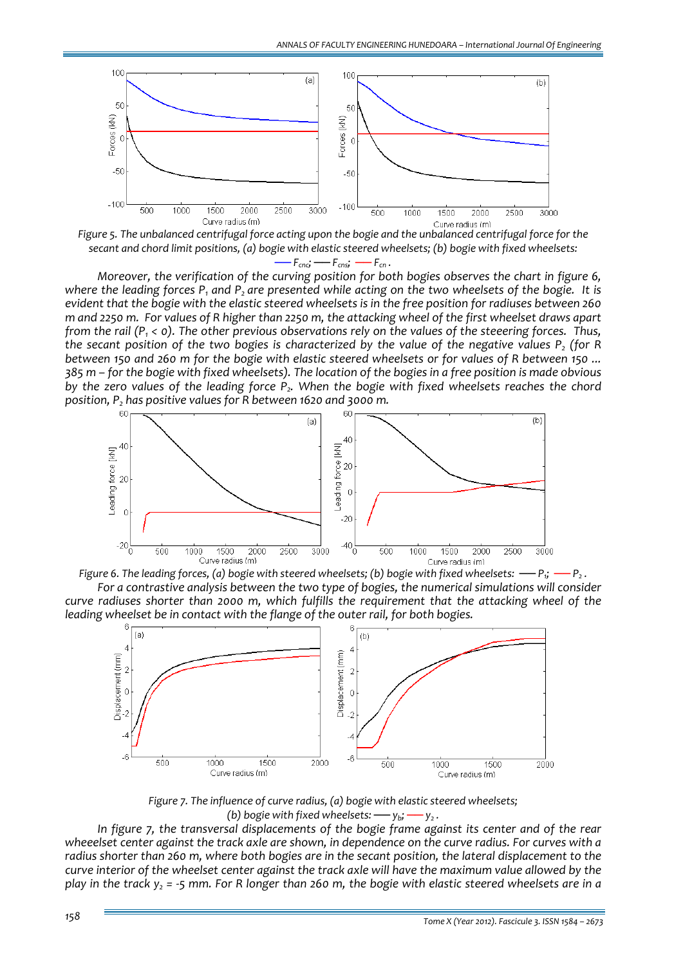

Figure 5. The unbalanced centrifugal force acting upon the bogie and the unbalanced centrifugal force for the secant and chord limit positions, (a) bogie with elastic steered wheelsets; (b) bogie with fixed wheelsets:  $- F_{\text{cnc}}$ ;  $- F_{\text{cns}}$ ;  $- F_{\text{c}}$ .

*Moreover, the verification of the curving position for both bogies observes the chart in figure 6,* where the leading forces  $P_1$  and  $P_2$  are presented while acting on the two wheelsets of the bogie. It is evident that the bogie with the elastic steered wheelsets is in the free position for radiuses between 260 m and 2250 m. For values of R higher than 2250 m, the attacking wheel of the first wheelset draws apart from the rail ( $P_1$  < 0). The other previous observations rely on the values of the steeering forces. Thus, the secant position of the two bogies is characterized by the value of the negative values  $P_2$  (for R between 150 and 260 m for the bogie with elastic steered wheelsets or for values of R between 150 ... 385 m - for the bogie with fixed wheelsets). The location of the bogies in a free position is made obvious *by the zero values of the leading force P2. When the bogie with fixed wheelsets reaches the chord position,*  $P_2$  *has positive values for R between* 1620 *and* 3000 *m.* 







*Figure 7. The influence of curve radius, (a) bogie with elastic steered wheelsets; (b)* bogie with fixed wheelsets:  $-\psi_b$ ;  $-\psi_c$ .

*In figure 7, the transversal displacements of the bogie frame against its center and of the rear* wheeelset center against the track axle are shown, in dependence on the curve radius. For curves with a radius shorter than 260 m, where both bogies are in the secant position, the lateral displacement to the curve interior of the wheelset center against the track axle will have the maximum value allowed by the play in the track  $y_2$  = -5 mm. For R longer than 260 m, the bogie with elastic steered wheelsets are in a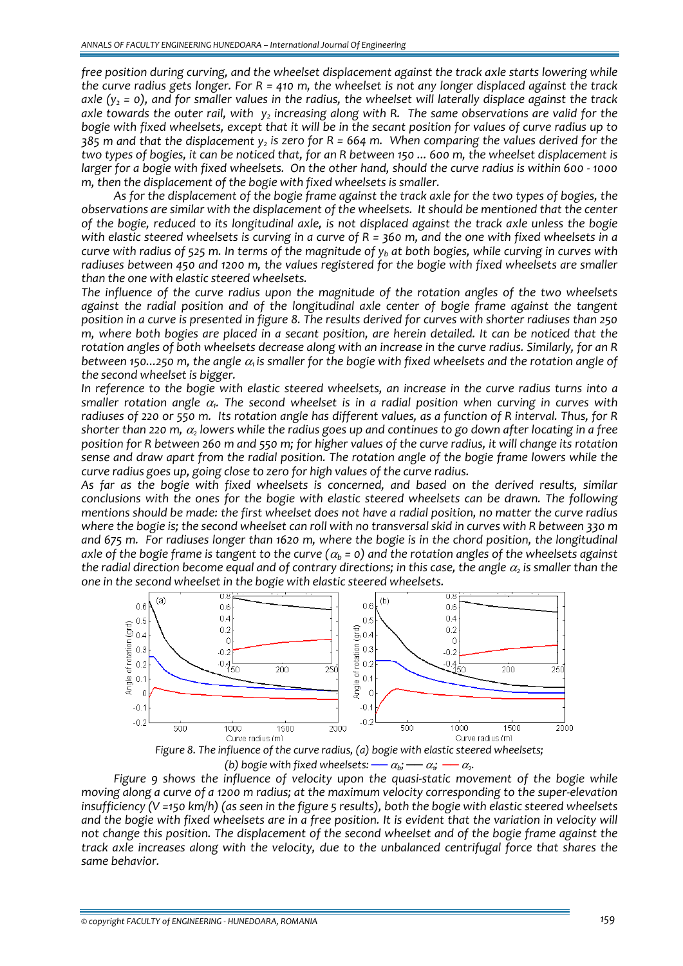*free position during curving, and the wheelset displacement against the track axle starts lowering while* the curve radius gets longer. For  $R = 410$  m, the wheelset is not any longer displaced against the track axle (y<sub>2</sub> = 0), and for smaller values in the radius, the wheelset will laterally displace against the track axle towards the outer rail, with  $y_2$  increasing along with R. The same observations are valid for the bogie with fixed wheelsets, except that it will be in the secant position for values of curve radius up to  $385$  m and that the displacement y, is zero for R = 664 m. When comparing the values derived for the two types of bogies, it can be noticed that, for an R between 150 ... 600 m, the wheelset displacement is larger for a bogie with fixed wheelsets. On the other hand, should the curve radius is within 600 - 1000 *m, then the displacement of the bogie with fixed wheelsets is smaller.* 

As for the displacement of the bogie frame against the track axle for the two types of bogies, the *observations are similar with the displacement of the wheelsets. It should be mentioned that the center* of the bogie, reduced to its longitudinal axle, is not displaced against the track axle unless the bogie with elastic steered wheelsets is curving in a curve of  $R = 360$  m, and the one with fixed wheelsets in a curve with radius of 525 m. In terms of the magnitude of  $y<sub>b</sub>$  at both bogies, while curving in curves with *radiuses between 450 and 1200 m, the values registered for the bogie with fixed wheelsets are smaller than the one with elastic steered wheelsets.*

*The influence of the curve radius upon the magnitude of the rotation angles of the two wheelsets against the radial position and of the longitudinal axle center of bogie frame against the tangent* position in a curve is presented in figure 8. The results derived for curves with shorter radiuses than 250 m, where both bogies are placed in a secant position, are herein detailed. It can be noticed that the rotation angles of both wheelsets decrease along with an increase in the curve radius. Similarly, for an R between 150...250 m, the angle  $\alpha_i$  is smaller for the bogie with fixed wheelsets and the rotation angle of *the second wheelset is bigger.* 

In reference to the bogie with elastic steered wheelsets, an increase in the curve radius turns into a *smaller rotation angle* <sup>α</sup>*1. The second wheelset is in a radial position when curving in curves with* radiuses of 220 or 550 m. Its rotation angle has different values, as a function of R interval. Thus, for R shorter than 220 m,  $\alpha_2$  lowers while the radius goes up and continues to go down after locating in a free position for R between 260 m and 550 m; for higher values of the curve radius, it will change its rotation sense and draw apart from the radial position. The rotation angle of the bogie frame lowers while the *curve radius goes up, going close to zero for high values of the curve radius.* 

*As far as the bogie with fixed wheelsets is concerned, and based on the derived results, similar conclusions with the ones for the bogie with elastic steered wheelsets can be drawn. The following* mentions should be made: the first wheelset does not have a radial position, no matter the curve radius where the bogie is; the second wheelset can roll with no transversal skid in curves with R between 330 m and 675 m. For radiuses longer than 1620 m, where the bogie is in the chord position, the longitudinal axle of the bogie frame is tangent to the curve ( $\alpha_b$  = 0) and the rotation angles of the wheelsets against the radial direction become equal and of contrary directions; in this case, the angle  $\alpha_2$  is smaller than the *one in the second wheelset in the bogie with elastic steered wheelsets.*



*(b)* bogie with fixed wheelsets:  $-\alpha_b$ ;  $-\alpha_i$ ;  $-\alpha_c$ .

*Figure 9 shows the influence of velocity upon the quasi‐static movement of the bogie while* moving along a curve of a 1200 m radius; at the maximum velocity corresponding to the super-elevation insufficiency ( $V = 150$  km/h) (as seen in the figure 5 results), both the bogie with elastic steered wheelsets and the bogie with fixed wheelsets are in a free position. It is evident that the variation in velocity will *not change this position. The displacement of the second wheelset and of the bogie frame against the track axle increases along with the velocity, due to the unbalanced centrifugal force that shares the same behavior.*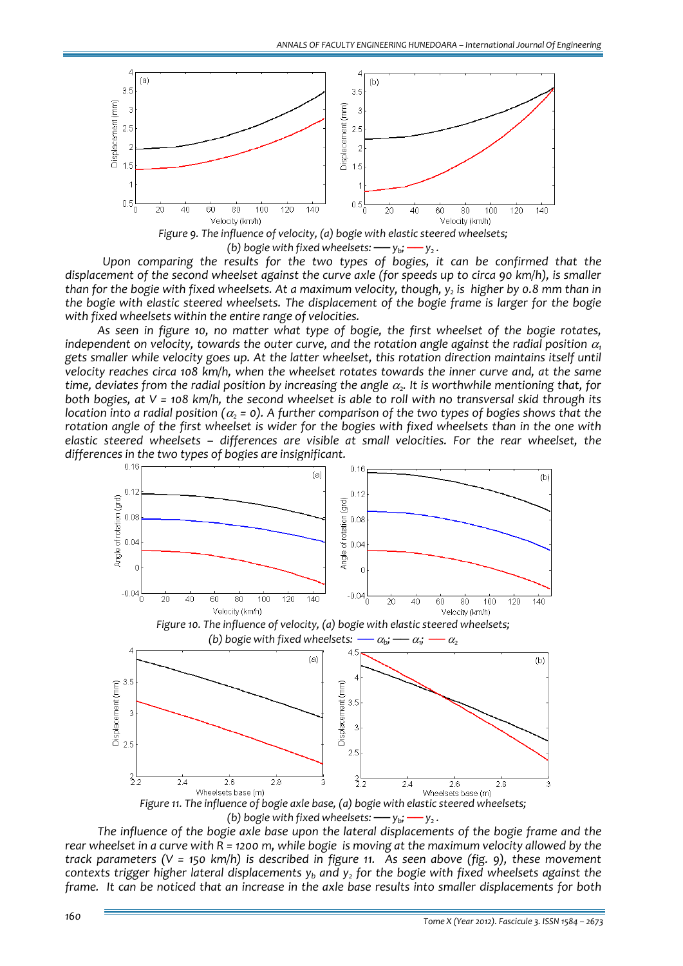

*(b) bogie with fixed wheelsets:*  $-\psi_b$ ;  $-\psi_c$ .

 *Upon comparing the results for the two types of bogies, it can be confirmed that the* displacement of the second wheelset against the curve axle (for speeds up to circa 90 km/h), is smaller than for the bogie with fixed wheelsets. At a maximum velocity, though,  $y_2$  is higher by 0.8 mm than in *the bogie with elastic steered wheelsets. The displacement of the bogie frame is larger for the bogie with fixed wheelsets within the entire range of velocities.*

*As seen in figure 10, no matter what type of bogie, the first wheelset of the bogie rotates, independent on velocity, towards the outer curve, and the rotation angle against the radial position* <sup>α</sup>*<sup>1</sup> gets smaller while velocity goes up. At the latter wheelset, this rotation direction maintains itself until velocity reaches circa 108 km/h, when the wheelset rotates towards the inner curve and, at the same time, deviates* from the *radial* position by increasing the angle  $\alpha$ . It is worthwhile mentioning that, for both bogies, at  $V = 108$  km/h, the second wheelset is able to roll with no transversal skid through its location into a radial position ( $\alpha_2$  = 0). A further comparison of the two types of bogies shows that the rotation angle of the first wheelset is wider for the bogies with fixed wheelsets than in the one with *elastic steered wheelsets – differences are visible at small velocities. For the rear wheelset, the differences in the two types of bogies are insignificant.* 



(b) bogie with fixed wheelsets:  $-y_b$ ;  $-y_2$ .

*The influence of the bogie axle base upon the lateral displacements of the bogie frame and the* rear wheelset in a curve with  $\overline{R}$  = 1200 m, while bogie is moving at the maximum velocity allowed by the track parameters ( $V = 150$  km/h) is described in figure 11. As seen above (fig. 9), these movement *contexts trigger higher lateral displacements yb and y2 for the bogie with fixed wheelsets against the* frame. It can be noticed that an increase in the axle base results into smaller displacements for both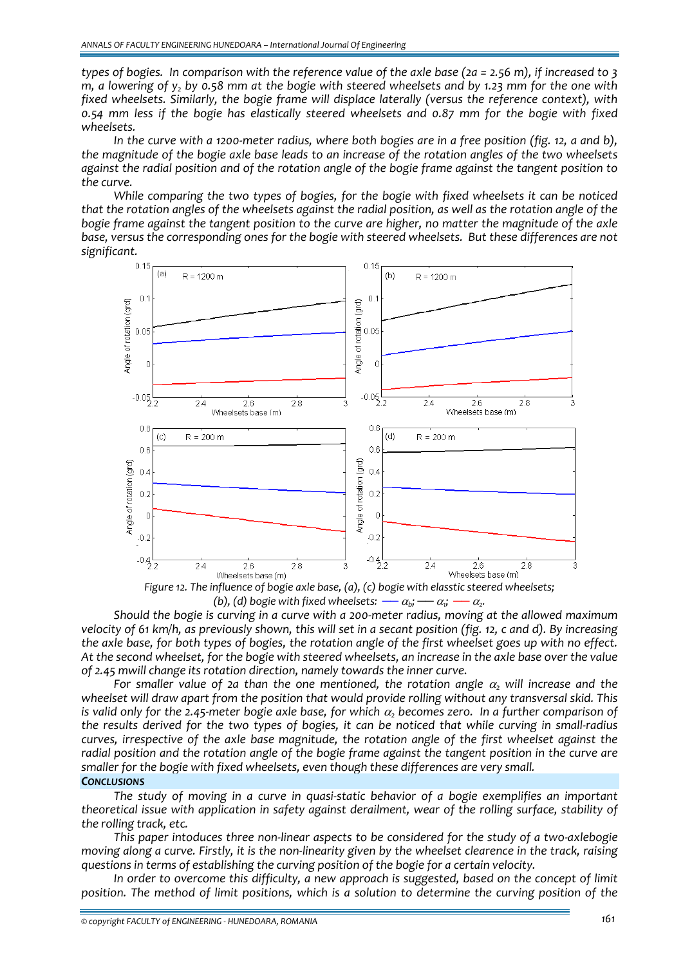types of bogies. In comparison with the reference value of the axle base (2a = 2.56 m), if increased to 3  $m$ , a lowering of  $y$ , by 0.58 mm at the bogie with steered wheelsets and by 1.23 mm for the one with *fixed wheelsets. Similarly, the bogie frame will displace laterally (versus the reference context), with 0.54 mm less if the bogie has elastically steered wheelsets and 0.87 mm for the bogie with fixed wheelsets.* 

In the curve with a 1200-meter radius, where both bogies are in a free position (fig. 12, a and b), the magnitude of the bogie axle base leads to an increase of the rotation angles of the two wheelsets against the radial position and of the rotation angle of the bogie frame against the tangent position to *the curve.* 

*While comparing the two types of bogies, for the bogie with fixed wheelsets it can be noticed* that the rotation angles of the wheelsets against the radial position, as well as the rotation angle of the bogie frame against the tangent position to the curve are higher, no matter the magnitude of the axle *base, versus the corresponding ones for the bogie with steered wheelsets. But these differences are not significant.*



*Figure 12. The influence of bogie axle base, (a), (c) bogie with elasstic steered wheelsets; (b), (d)* bogie with fixed wheelsets:  $-\alpha_b$ ;  $-\alpha_i$ ;  $-\alpha_z$ .

Should the bogie is curving in a curve with a 200-meter radius, moving at the allowed maximum velocity of 61 km/h, as previously shown, this will set in a secant position (fig. 12, c and d). By increasing the axle base, for both types of bogies, the rotation angle of the first wheelset goes up with no effect. At the second wheelset, for the bogie with steered wheelsets, an increase in the axle base over the value *of 2.45 mwill change its rotation direction, namely towards the inner curve.*

*For smaller value of 2a than the one mentioned, the rotation angle* <sup>α</sup>*<sup>2</sup> will increase and the wheelset will draw apart from the position that would provide rolling without any transversal skid. This* is valid only for the 2.45-meter bogie axle base, for which  $\alpha$ , becomes zero. In a further comparison of the results derived for the two types of bogies, it can be noticed that while curving in small-radius *curves, irrespective of the axle base magnitude, the rotation angle of the first wheelset against the* radial position and the rotation angle of the bogie frame against the tangent position in the curve are *smaller for the bogie with fixed wheelsets, even though these differences are very small.*

## *CONCLUSIONS*

*The study of moving in a curve in quasi‐static behavior of a bogie exemplifies an important theoretical issue with application in safety against derailment, wear of the rolling surface, stability of the rolling track, etc.*

This paper intoduces three non-linear aspects to be considered for the study of a two-axlebogie moving along a curve. Firstly, it is the non-linearity given by the wheelset clearence in the track, raising *questions in terms of establishing the curving position of the bogie for a certain velocity.*

*In order to overcome this difficulty, a new approach is suggested, based on the concept of limit position. The method of limit positions, which is a solution to determine the curving position of the*